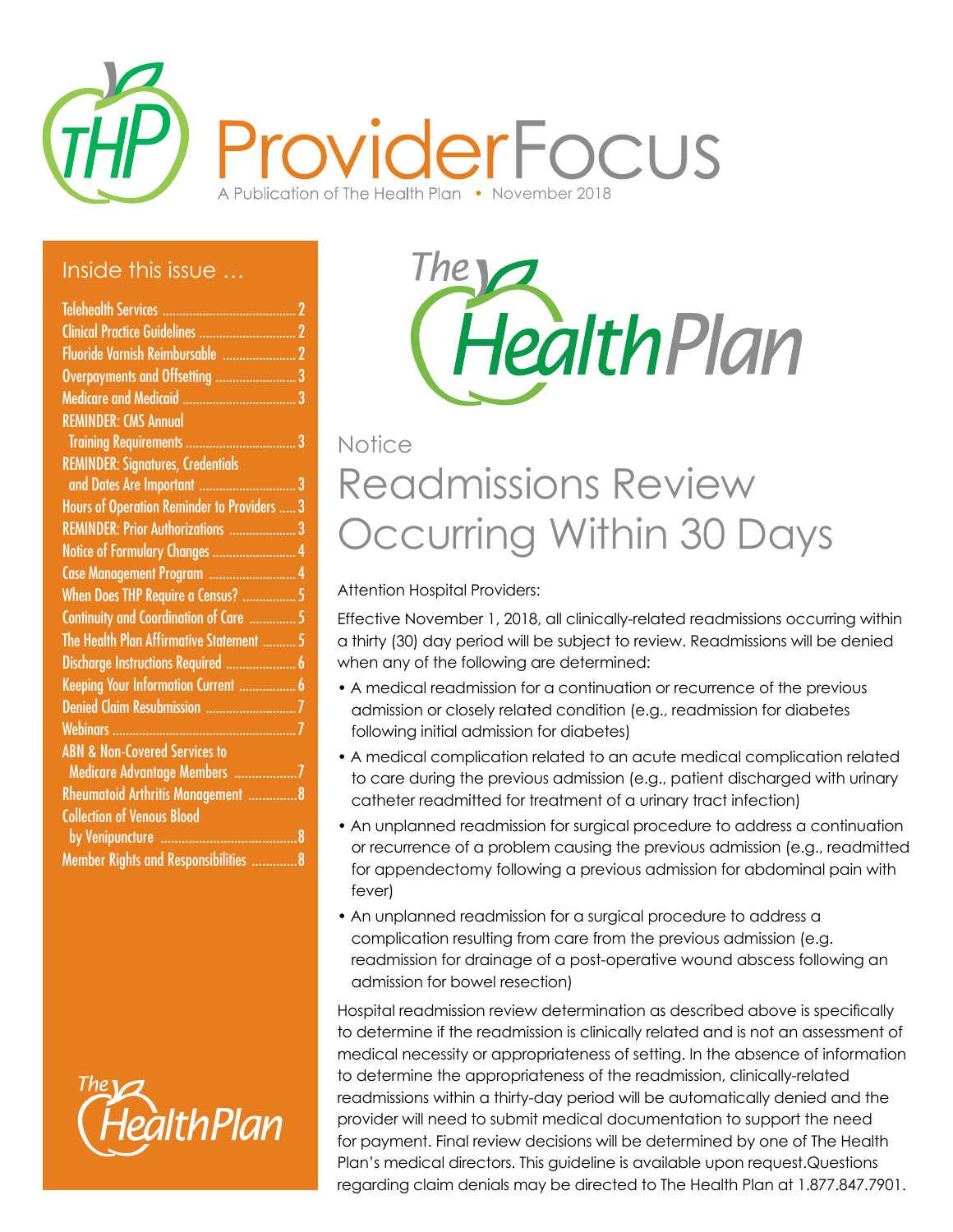

#### Inside this issue …

| Overpayments and Offsetting 3               |   |
|---------------------------------------------|---|
| <b>Medicare and Medicaid </b>               |   |
| <b>REMINDER: CMS Annual</b>                 |   |
| <b>Training Requirements </b>               | 3 |
| <b>REMINDER: Signatures, Credentials</b>    |   |
| and Dates Are Important                     | 3 |
| Hours of Operation Reminder to Providers  3 |   |
| REMINDER: Prior Authorizations  3           |   |
| Notice of Formulary Changes  4              |   |
| Case Management Program  4                  |   |
| When Does THP Require a Census?  5          |   |
| Continuity and Coordination of Care  5      |   |
| The Health Plan Affirmative Statement  5    |   |
| Discharge Instructions Required  6          |   |
| Keeping Your Information Current  6         |   |
| Denied Claim Resubmission 7                 |   |
| Webinars                                    |   |
| <b>ABN &amp; Non-Covered Services to</b>    |   |
| Medicare Advantage Members 7                |   |
| Rheumatoid Arthritis Management 8           |   |
| <b>Collection of Venous Blood</b>           |   |
|                                             |   |
| Member Rights and Responsibilities 8        |   |



HealthPlan

# Readmissions Review Occurring Within 30 Days **Notice**

Attention Hospital Providers:

Effective November 1, 2018, all clinically-related readmissions occurring within a thirty (30) day period will be subject to review. Readmissions will be denied when any of the following are determined:

- A medical readmission for a continuation or recurrence of the previous admission or closely related condition (e.g., readmission for diabetes following initial admission for diabetes)
- A medical complication related to an acute medical complication related to care during the previous admission (e.g., patient discharged with urinary catheter readmitted for treatment of a urinary tract infection)
- An unplanned readmission for surgical procedure to address a continuation or recurrence of a problem causing the previous admission (e.g., readmitted for appendectomy following a previous admission for abdominal pain with fever)
- An unplanned readmission for a surgical procedure to address a complication resulting from care from the previous admission (e.g. readmission for drainage of a post-operative wound abscess following an admission for bowel resection)

Hospital readmission review determination as described above is specifically to determine if the readmission is clinically related and is not an assessment of medical necessity or appropriateness of setting. In the absence of information to determine the appropriateness of the readmission, clinically-related readmissions within a thirty-day period will be automatically denied and the provider will need to submit medical documentation to support the need for payment. Final review decisions will be determined by one of The Health Plan's medical directors. This guideline is available upon request.Questions regarding claim denials may be directed to The Health Plan at 1.877.847.7901.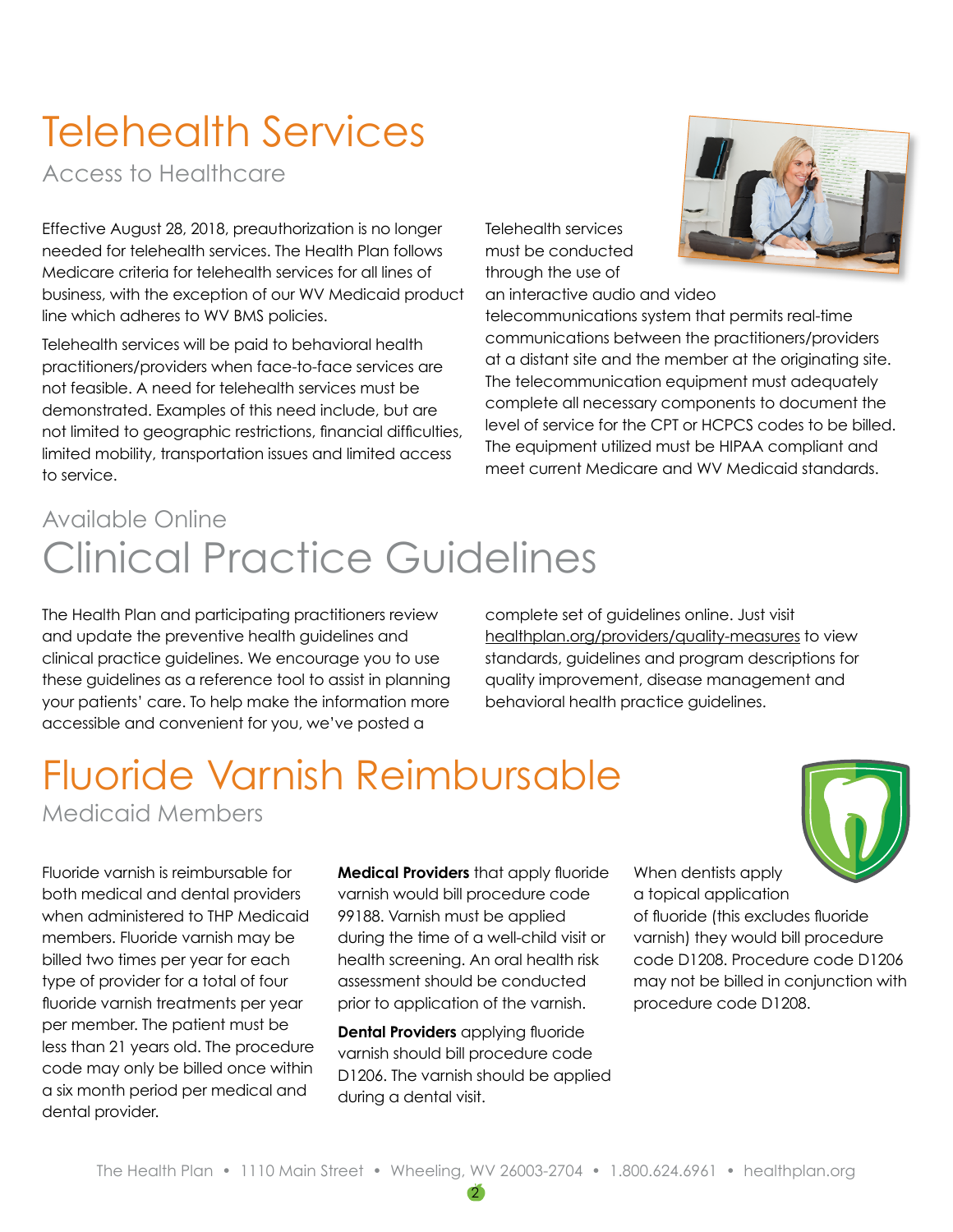# Telehealth Services

Access to Healthcare

Effective August 28, 2018, preauthorization is no longer needed for telehealth services. The Health Plan follows Medicare criteria for telehealth services for all lines of business, with the exception of our WV Medicaid product line which adheres to WV BMS policies.

Telehealth services will be paid to behavioral health practitioners/providers when face-to-face services are not feasible. A need for telehealth services must be demonstrated. Examples of this need include, but are not limited to geographic restrictions, financial difficulties, limited mobility, transportation issues and limited access to service.

Telehealth services must be conducted through the use of an interactive audio and video

telecommunications system that permits real-time communications between the practitioners/providers at a distant site and the member at the originating site. The telecommunication equipment must adequately complete all necessary components to document the level of service for the CPT or HCPCS codes to be billed. The equipment utilized must be HIPAA compliant and meet current Medicare and WV Medicaid standards.

# Clinical Practice Guidelines Available Online

The Health Plan and participating practitioners review and update the preventive health guidelines and clinical practice guidelines. We encourage you to use these guidelines as a reference tool to assist in planning your patients' care. To help make the information more accessible and convenient for you, we've posted a

complete set of guidelines online. Just visit [healthplan.org/providers/quality-measures](http://healthplan.org/providers/quality-measures) to view standards, guidelines and program descriptions for quality improvement, disease management and behavioral health practice guidelines.

### Fluoride Varnish Reimbursable Medicaid Members



Fluoride varnish is reimbursable for both medical and dental providers when administered to THP Medicaid members. Fluoride varnish may be billed two times per year for each type of provider for a total of four fluoride varnish treatments per year per member. The patient must be less than 21 years old. The procedure code may only be billed once within a six month period per medical and dental provider.

**Medical Providers** that apply fluoride varnish would bill procedure code 99188. Varnish must be applied during the time of a well-child visit or health screening. An oral health risk assessment should be conducted prior to application of the varnish.

**Dental Providers** applying fluoride varnish should bill procedure code D1206. The varnish should be applied during a dental visit.

When dentists apply a topical application of fluoride (this excludes fluoride varnish) they would bill procedure code D1208. Procedure code D1206 may not be billed in conjunction with procedure code D1208.

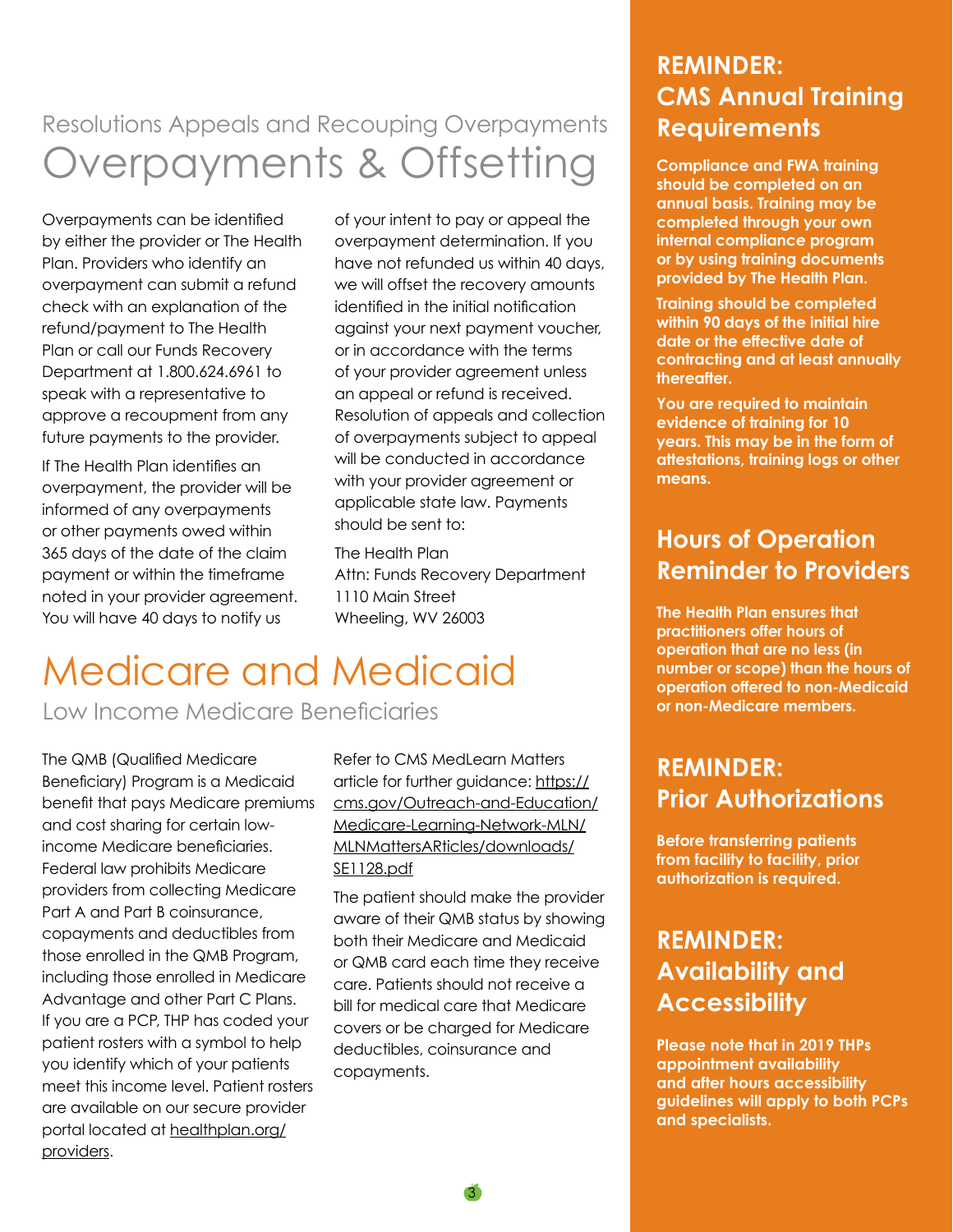### Overpayments & Offsetting Resolutions Appeals and Recouping Overpayments

Overpayments can be identified by either the provider or The Health Plan. Providers who identify an overpayment can submit a refund check with an explanation of the refund/payment to The Health Plan or call our Funds Recovery Department at 1.800.624.6961 to speak with a representative to approve a recoupment from any future payments to the provider.

If The Health Plan identifies an overpayment, the provider will be informed of any overpayments or other payments owed within 365 days of the date of the claim payment or within the timeframe noted in your provider agreement. You will have 40 days to notify us

of your intent to pay or appeal the overpayment determination. If you have not refunded us within 40 days, we will offset the recovery amounts identified in the initial notification against your next payment voucher, or in accordance with the terms of your provider agreement unless an appeal or refund is received. Resolution of appeals and collection of overpayments subject to appeal will be conducted in accordance with your provider agreement or applicable state law. Payments should be sent to:

The Health Plan Attn: Funds Recovery Department 1110 Main Street Wheeling, WV 26003

# Medicare and Medicaid

Low Income Medicare Beneficiaries

The QMB (Qualified Medicare Beneficiary) Program is a Medicaid benefit that pays Medicare premiums and cost sharing for certain lowincome Medicare beneficiaries. Federal law prohibits Medicare providers from collecting Medicare Part A and Part B coinsurance, copayments and deductibles from those enrolled in the QMB Program, including those enrolled in Medicare Advantage and other Part C Plans. If you are a PCP, THP has coded your patient rosters with a symbol to help you identify which of your patients meet this income level. Patient rosters are available on our secure provider portal located at [healthplan.org/](http://healthplan.org/providers) [providers](http://healthplan.org/providers).

Refer to CMS MedLearn Matters article for further guidance: [https://](https://www.cms.gov/Outreach-and-Education/Medicare-Learning-Network-MLN/MLNMattersARticles/downloads/SE1128.pdf) [cms.gov/Outreach-and-Education/](https://www.cms.gov/Outreach-and-Education/Medicare-Learning-Network-MLN/MLNMattersARticles/downloads/SE1128.pdf) [Medicare-Learning-Network-MLN/](https://www.cms.gov/Outreach-and-Education/Medicare-Learning-Network-MLN/MLNMattersARticles/downloads/SE1128.pdf) [MLNMattersARticles/downloads/](https://www.cms.gov/Outreach-and-Education/Medicare-Learning-Network-MLN/MLNMattersARticles/downloads/SE1128.pdf) [SE1128.pdf](https://www.cms.gov/Outreach-and-Education/Medicare-Learning-Network-MLN/MLNMattersARticles/downloads/SE1128.pdf)

The patient should make the provider aware of their QMB status by showing both their Medicare and Medicaid or QMB card each time they receive care. Patients should not receive a bill for medical care that Medicare covers or be charged for Medicare deductibles, coinsurance and copayments.

#### **REMINDER: CMS Annual Training Requirements**

**Compliance and FWA training should be completed on an annual basis. Training may be completed through your own internal compliance program or by using training documents provided by The Health Plan.**

**Training should be completed within 90 days of the initial hire date or the effective date of contracting and at least annually thereafter.**

**You are required to maintain evidence of training for 10 years. This may be in the form of attestations, training logs or other means.**

### **Hours of Operation Reminder to Providers**

**The Health Plan ensures that practitioners offer hours of operation that are no less (in number or scope) than the hours of operation offered to non-Medicaid or non-Medicare members.**

#### **REMINDER: Prior Authorizations**

**Before transferring patients from facility to facility, prior authorization is required.**

### **REMINDER: Availability and Accessibility**

**Please note that in 2019 THPs appointment availability and after hours accessibility guidelines will apply to both PCPs and specialists.**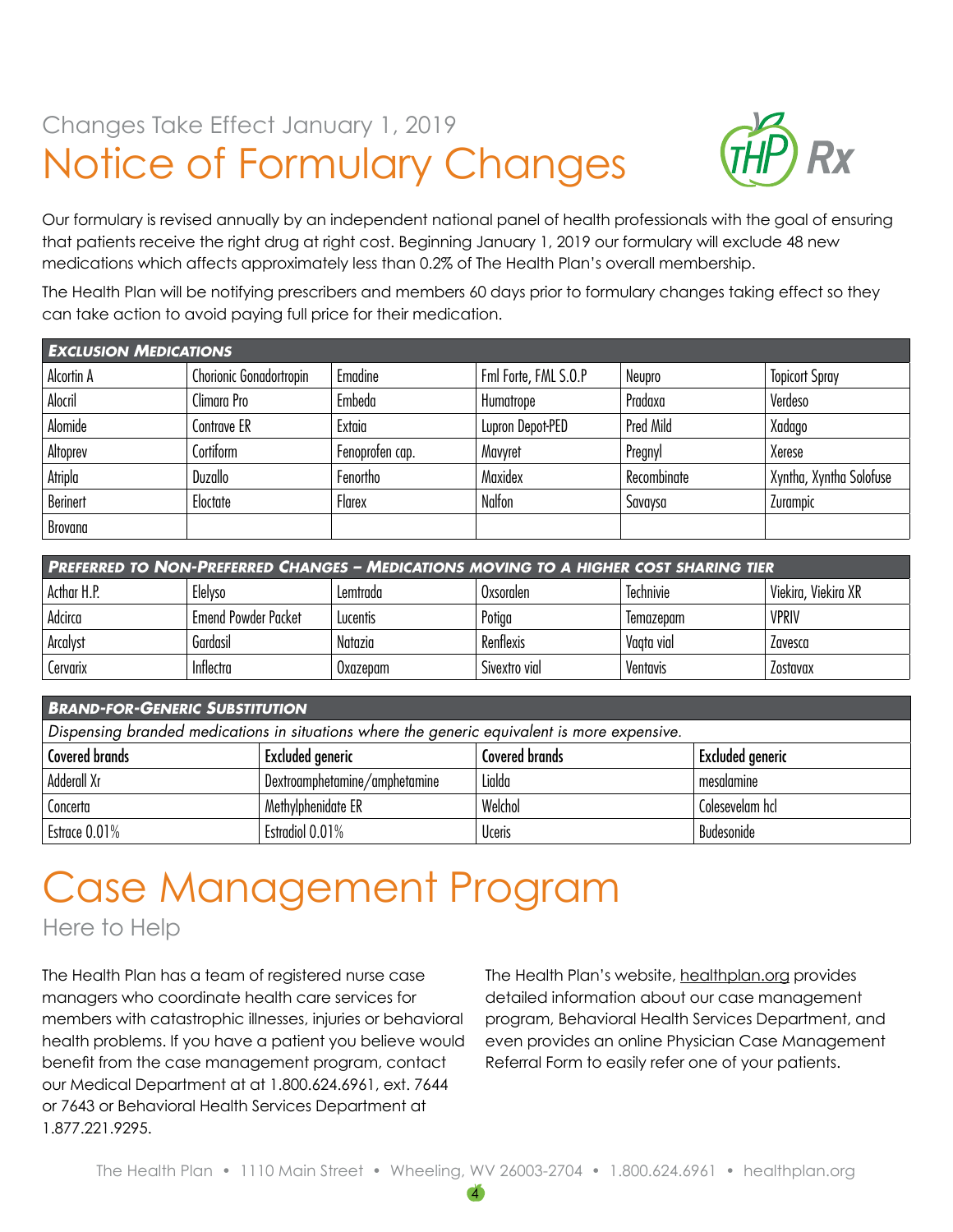## Notice of Formulary Changes Changes Take Effect January 1, 2019



Our formulary is revised annually by an independent national panel of health professionals with the goal of ensuring that patients receive the right drug at right cost. Beginning January 1, 2019 our formulary will exclude 48 new medications which affects approximately less than 0.2% of The Health Plan's overall membership.

The Health Plan will be notifying prescribers and members 60 days prior to formulary changes taking effect so they can take action to avoid paying full price for their medication.

| <b>EXCLUSION MEDICATIONS</b> |                         |                 |                      |             |                         |  |
|------------------------------|-------------------------|-----------------|----------------------|-------------|-------------------------|--|
| Alcortin A                   | Chorionic Gonadortropin | Emadine         | Fml Forte, FML S.O.P | Neupro      | <b>Topicort Spray</b>   |  |
| Alocril                      | Climara Pro             | Embeda          | Humatrope            | Pradaxa     | Verdeso                 |  |
| Alomide                      | Contrave ER             | Extaia          | Lupron Depot-PED     | Pred Mild   | Xadago                  |  |
| Altoprev                     | Cortiform               | Fenoprofen cap. | Mavyret              | Pregnyl     | Xerese                  |  |
| Atripla                      | Duzallo                 | Fenortho        | Maxidex              | Recombinate | Xyntha, Xyntha Solofuse |  |
| <b>Berinert</b>              | Eloctate                | Flarex          | Nalfon               | Savaysa     | Zurampic                |  |
| Brovana                      |                         |                 |                      |             |                         |  |

| <b>PREFERRED TO NON-PREFERRED CHANGES - MEDICATIONS MOVING TO A HIGHER COST SHARING TIER</b> |                      |          |               |                  |                     |  |
|----------------------------------------------------------------------------------------------|----------------------|----------|---------------|------------------|---------------------|--|
| Acthar H.P.                                                                                  | Elelvso              | Lemtrada | Oxsorglen     | <b>Technivie</b> | Viekira, Viekira XR |  |
| Adcirca                                                                                      | 'Emend Powder Packet | Lucentis | Potiga        | lemazepam        | <b>VPRIV</b>        |  |
| Arcalyst                                                                                     | Gardasil             | Natazia  | Renflexis     | Vaata vial       | Lavesca             |  |
| Cervarix                                                                                     | Inflectra            | Uxazepam | Sivextro vial | Ventavis         | Zostavax            |  |

#### *Brand-for-Generic Substitution*

| Dispensing branded medications in situations where the generic equivalent is more expensive. |                               |                |                         |  |  |
|----------------------------------------------------------------------------------------------|-------------------------------|----------------|-------------------------|--|--|
| Covered brands                                                                               | Excluded generic              | Covered brands | <b>Excluded generic</b> |  |  |
| Adderall Xr                                                                                  | Dextroamphetamine/amphetamine | Lialda         | mesalamine              |  |  |
| Concerta                                                                                     | Methylphenidate ER            | Welchol        | Colesevelam hcl         |  |  |
| Estrace $0.01\%$                                                                             | Estradiol 0.01%               | <b>Uceris</b>  | Budesonide              |  |  |

# Case Management Program

Here to Help

The Health Plan has a team of registered nurse case managers who coordinate health care services for members with catastrophic illnesses, injuries or behavioral health problems. If you have a patient you believe would benefit from the case management program, contact our Medical Department at at 1.800.624.6961, ext. 7644 or 7643 or Behavioral Health Services Department at 1.877.221.9295.

The Health Plan's website, [healthplan.org](http://healthplan.org) provides detailed information about our case management program, Behavioral Health Services Department, and even provides an online Physician Case Management Referral Form to easily refer one of your patients.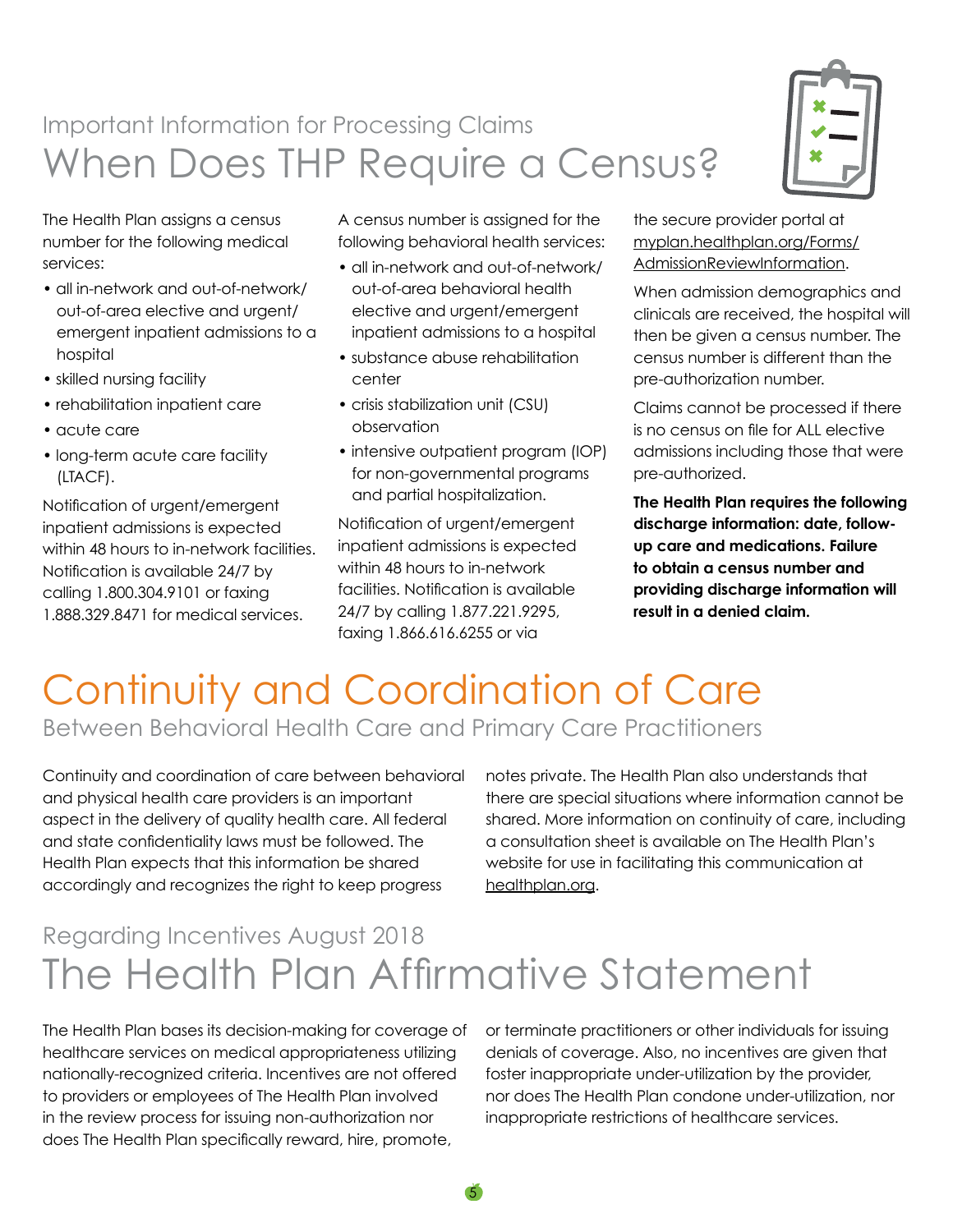## When Does THP Require a Census? Important Information for Processing Claims

The Health Plan assigns a census number for the following medical services:

- all in-network and out-of-network/ out-of-area elective and urgent/ emergent inpatient admissions to a hospital
- skilled nursing facility
- rehabilitation inpatient care
- acute care
- long-term acute care facility (LTACF).

Notification of urgent/emergent inpatient admissions is expected within 48 hours to in-network facilities. Notification is available 24/7 by calling 1.800.304.9101 or faxing 1.888.329.8471 for medical services.

A census number is assigned for the following behavioral health services:

- all in-network and out-of-network/ out-of-area behavioral health elective and urgent/emergent inpatient admissions to a hospital
- substance abuse rehabilitation center
- crisis stabilization unit (CSU) observation
- intensive outpatient program (IOP) for non-governmental programs and partial hospitalization.

Notification of urgent/emergent inpatient admissions is expected within 48 hours to in-network facilities. Notification is available 24/7 by calling 1.877.221.9295, faxing 1.866.616.6255 or via

the secure provider portal at [myplan.healthplan.org/Forms/](http://myplan.healthplan.org/Forms/AdmissionReviewInformation) [AdmissionReviewInformation](http://myplan.healthplan.org/Forms/AdmissionReviewInformation).

When admission demographics and clinicals are received, the hospital will then be given a census number. The census number is different than the pre-authorization number.

Claims cannot be processed if there is no census on file for ALL elective admissions including those that were pre-authorized.

**The Health Plan requires the following discharge information: date, followup care and medications. Failure to obtain a census number and providing discharge information will result in a denied claim.**

## Continuity and Coordination of Care Between Behavioral Health Care and Primary Care Practitioners

Continuity and coordination of care between behavioral and physical health care providers is an important aspect in the delivery of quality health care. All federal and state confidentiality laws must be followed. The Health Plan expects that this information be shared accordingly and recognizes the right to keep progress

notes private. The Health Plan also understands that there are special situations where information cannot be shared. More information on continuity of care, including a consultation sheet is available on The Health Plan's website for use in facilitating this communication at [healthplan.org.](http://healthplan.org)

## The Health Plan Affirmative Statement Regarding Incentives August 2018

5

The Health Plan bases its decision-making for coverage of healthcare services on medical appropriateness utilizing nationally-recognized criteria. Incentives are not offered to providers or employees of The Health Plan involved in the review process for issuing non-authorization nor does The Health Plan specifically reward, hire, promote,

or terminate practitioners or other individuals for issuing denials of coverage. Also, no incentives are given that foster inappropriate under-utilization by the provider, nor does The Health Plan condone under-utilization, nor inappropriate restrictions of healthcare services.

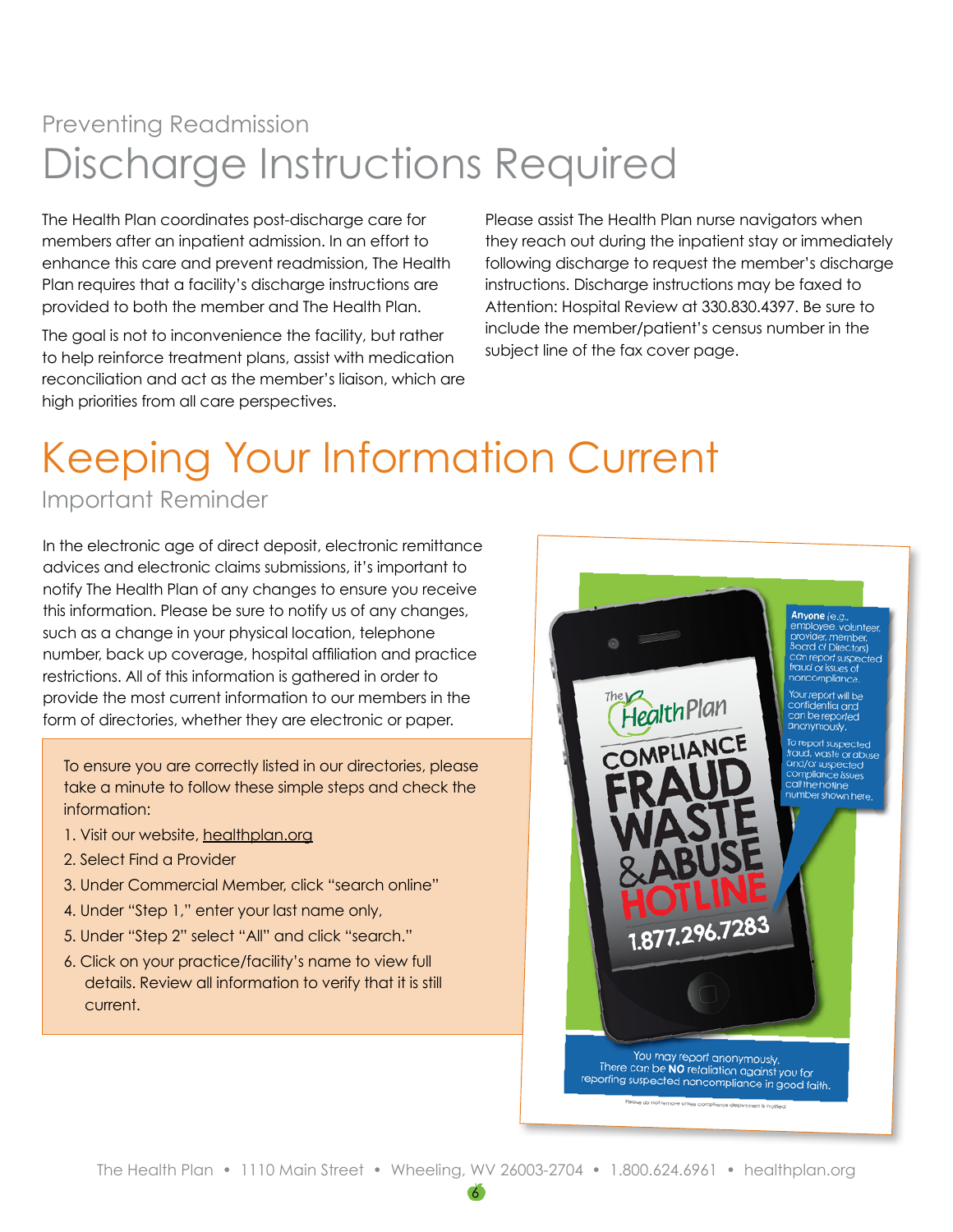## Discharge Instructions Required Preventing Readmission

The Health Plan coordinates post-discharge care for members after an inpatient admission. In an effort to enhance this care and prevent readmission, The Health Plan requires that a facility's discharge instructions are provided to both the member and The Health Plan.

The goal is not to inconvenience the facility, but rather to help reinforce treatment plans, assist with medication reconciliation and act as the member's liaison, which are high priorities from all care perspectives.

Please assist The Health Plan nurse navigators when they reach out during the inpatient stay or immediately following discharge to request the member's discharge instructions. Discharge instructions may be faxed to Attention: Hospital Review at 330.830.4397. Be sure to include the member/patient's census number in the subject line of the fax cover page.

# Keeping Your Information Current

Important Reminder

In the electronic age of direct deposit, electronic remittance advices and electronic claims submissions, it's important to notify The Health Plan of any changes to ensure you receive this information. Please be sure to notify us of any changes, such as a change in your physical location, telephone number, back up coverage, hospital affiliation and practice restrictions. All of this information is gathered in order to provide the most current information to our members in the form of directories, whether they are electronic or paper.

To ensure you are correctly listed in our directories, please take a minute to follow these simple steps and check the information:

- 1. Visit our website, [healthplan.org](http://healthplan.org)
- 2. Select Find a Provider
- 3. Under Commercial Member, click "search online"
- 4. Under "Step 1," enter your last name only,
- 5. Under "Step 2" select "All" and click "search."
- 6. Click on your practice/facility's name to view full details. Review all information to verify that it is still current.

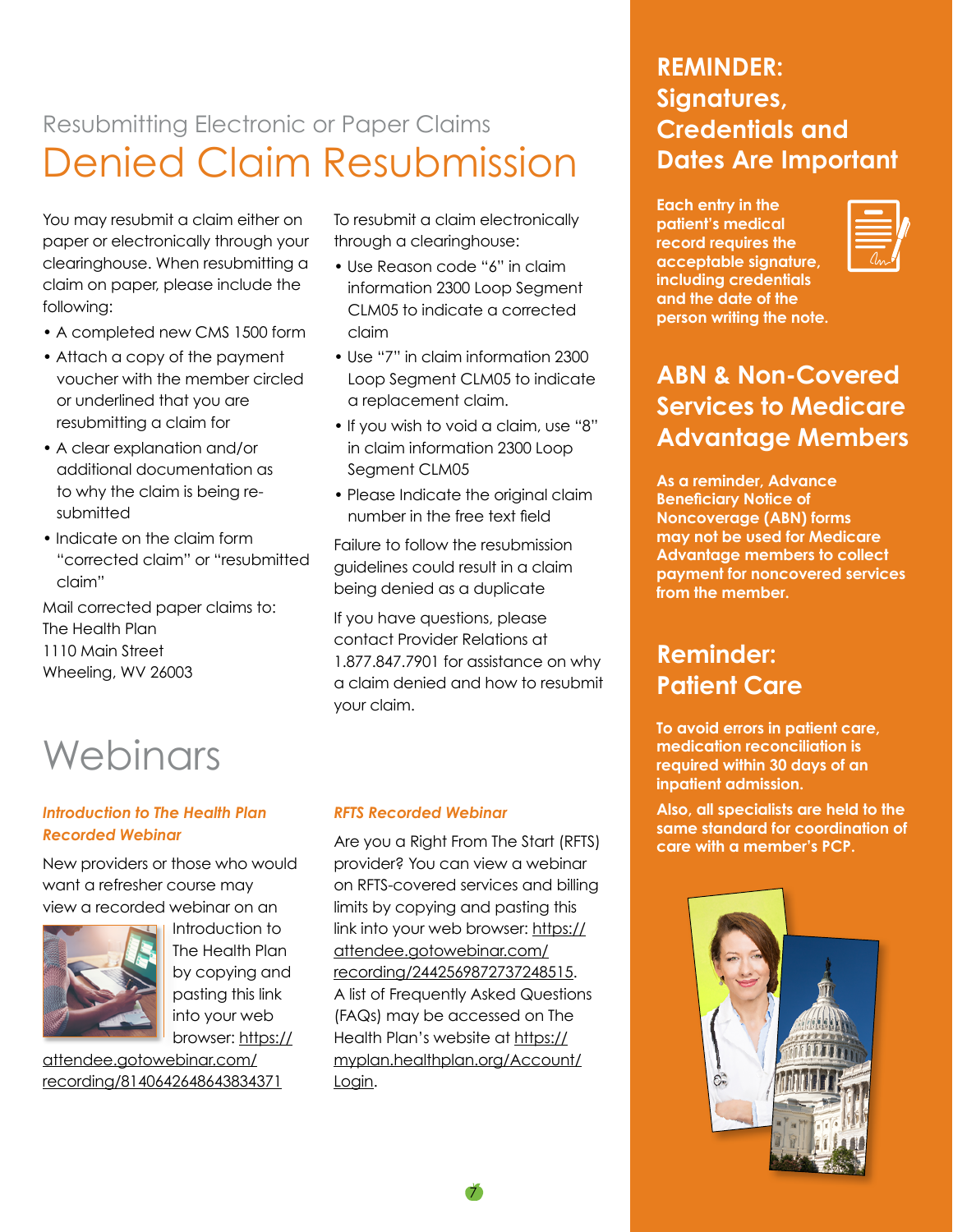## Denied Claim Resubmission Resubmitting Electronic or Paper Claims

You may resubmit a claim either on paper or electronically through your clearinghouse. When resubmitting a claim on paper, please include the following:

- A completed new CMS 1500 form
- Attach a copy of the payment voucher with the member circled or underlined that you are resubmitting a claim for
- A clear explanation and/or additional documentation as to why the claim is being resubmitted
- Indicate on the claim form "corrected claim" or "resubmitted claim"

Mail corrected paper claims to: The Health Plan 1110 Main Street Wheeling, WV 26003

# **Webinars**

#### *Introduction to The Health Plan Recorded Webinar*

New providers or those who would want a refresher course may view a recorded webinar on an



Introduction to The Health Plan by copying and pasting this link into your web browser: [https://](https://attendee.gotowebinar.com/recording/8140642648643834371)

[attendee.gotowebinar.com/](https://attendee.gotowebinar.com/recording/8140642648643834371) [recording/8140642648643834371](https://attendee.gotowebinar.com/recording/8140642648643834371) To resubmit a claim electronically through a clearinghouse:

- Use Reason code "6" in claim information 2300 Loop Segment CLM05 to indicate a corrected claim
- Use "7" in claim information 2300 Loop Segment CLM05 to indicate a replacement claim.
- If you wish to void a claim, use "8" in claim information 2300 Loop Segment CLM05
- Please Indicate the original claim number in the free text field

Failure to follow the resubmission guidelines could result in a claim being denied as a duplicate

If you have questions, please contact Provider Relations at 1.877.847.7901 for assistance on why a claim denied and how to resubmit your claim.

#### *RFTS Recorded Webinar*

Are you a Right From The Start (RFTS) provider? You can view a webinar on RFTS-covered services and billing limits by copying and pasting this link into your web browser: [https://](https://attendee.gotowebinar.com/recording/2442569872737248515) [attendee.gotowebinar.com/](https://attendee.gotowebinar.com/recording/2442569872737248515) [recording/2442569872737248515](https://attendee.gotowebinar.com/recording/2442569872737248515). A list of Frequently Asked Questions (FAQs) may be accessed on The Health Plan's website at [https://](https://myplan.healthplan.org/Account/Login) [myplan.healthplan.org/Account/](https://myplan.healthplan.org/Account/Login) [Login](https://myplan.healthplan.org/Account/Login).

7

#### **REMINDER: Signatures, Credentials and Dates Are Important**

**Each entry in the patient's medical record requires the acceptable signature, including credentials and the date of the person writing the note.**



#### **ABN & Non-Covered Services to Medicare Advantage Members**

**As a reminder, Advance Beneficiary Notice of Noncoverage (ABN) forms may not be used for Medicare Advantage members to collect payment for noncovered services from the member.**

#### **Reminder: Patient Care**

**To avoid errors in patient care, medication reconciliation is required within 30 days of an inpatient admission.**

**Also, all specialists are held to the same standard for coordination of care with a member's PCP.**